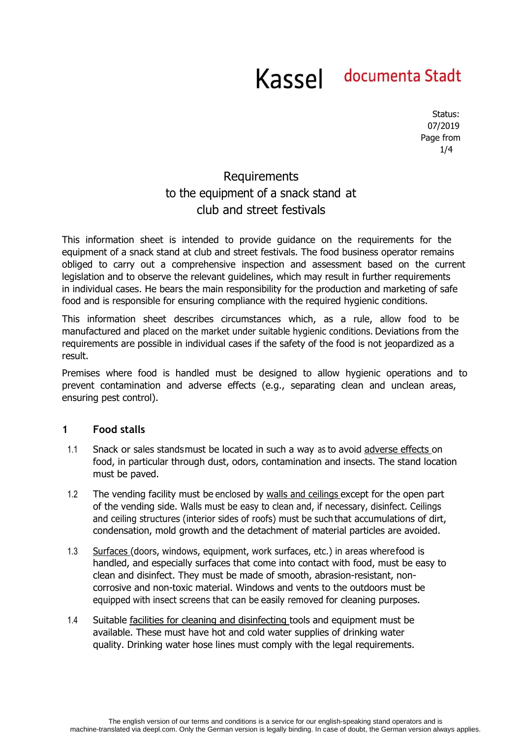Status: 07/2019 Page from 1/4

# Requirements to the equipment of a snack stand at club and street festivals

This information sheet is intended to provide guidance on the requirements for the equipment of a snack stand at club and street festivals. The food business operator remains obliged to carry out a comprehensive inspection and assessment based on the current legislation and to observe the relevant guidelines, which may result in further requirements in individual cases. He bears the main responsibility for the production and marketing of safe food and is responsible for ensuring compliance with the required hygienic conditions.

This information sheet describes circumstances which, as a rule, allow food to be manufactured and placed on the market under suitable hygienic conditions. Deviations from the requirements are possible in individual cases if the safety of the food is not jeopardized as a result.

Premises where food is handled must be designed to allow hygienic operations and to prevent contamination and adverse effects (e.g., separating clean and unclean areas, ensuring pest control).

### **1 Food stalls**

- 1.1 Snack or sales stands must be located in such a way as to avoid adverse effects on food, in particular through dust, odors, contamination and insects. The stand location must be paved.
- 1.2 The vending facility must be enclosed by walls and ceilings except for the open part of the vending side. Walls must be easy to clean and, if necessary, disinfect. Ceilings and ceiling structures (interior sides of roofs) must be such that accumulations of dirt, condensation, mold growth and the detachment of material particles are avoided.
- 1.3 Surfaces (doors, windows, equipment, work surfaces, etc.) in areas where food is handled, and especially surfaces that come into contact with food, must be easy to clean and disinfect. They must be made of smooth, abrasion-resistant, noncorrosive and non-toxic material. Windows and vents to the outdoors must be equipped with insect screens that can be easily removed for cleaning purposes.
- 1.4 Suitable facilities for cleaning and disinfecting tools and equipment must be available. These must have hot and cold water supplies of drinking water quality. Drinking water hose lines must comply with the legal requirements.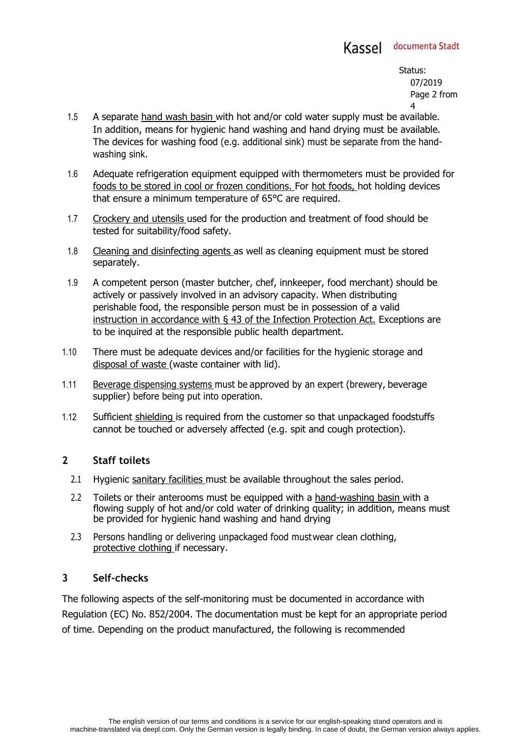Status: 07/2019 Page 2 from 4

- 1.5 A separate hand wash basin with hot and/or cold water supply must be available. In addition, means for hygienic hand washing and hand drying must be available. The devices for washing food (e.g. additional sink) must be separate from the handwashing sink.
- 1.6 Adequate refrigeration equipment equipped with thermometers must be provided for foods to be stored in cool or frozen conditions. For hot foods, hot holding devices that ensure a minimum temperature of 65°C are required.
- 1.7 Crockery and utensils used for the production and treatment of food should be tested for suitability/food safety.
- 1.8 Cleaning and disinfecting agents as well as cleaning equipment must be stored separately.
- 1.9 A competent person (master butcher, chef, innkeeper, food merchant) should be actively or passively involved in an advisory capacity. When distributing perishable food, the responsible person must be in possession of a valid instruction in accordance with § 43 of the Infection Protection Act. Exceptions are to be inquired at the responsible public health department.
- 1.10 There must be adequate devices and/or facilities for the hygienic storage and disposal of waste (waste container with lid).
- 1.11 Beverage dispensing systems must be approved by an expert (brewery, beverage supplier) before being put into operation.
- 1.12 Sufficient shielding is required from the customer so that unpackaged foodstuffs cannot be touched or adversely affected (e.g. spit and cough protection).

### **2 Staff toilets**

- 2.1 Hygienic sanitary facilities must be available throughout the sales period.
- 2.2 Toilets or their anterooms must be equipped with a hand-washing basin with a flowing supply of hot and/or cold water of drinking quality; in addition, means must be provided for hygienic hand washing and hand drying
- 2.3 Persons handling or delivering unpackaged food must wear clean clothing, protective clothing if necessary.

### **3 Self-checks**

The following aspects of the self-monitoring must be documented in accordance with Regulation (EC) No. 852/2004. The documentation must be kept for an appropriate period of time. Depending on the product manufactured, the following is recommended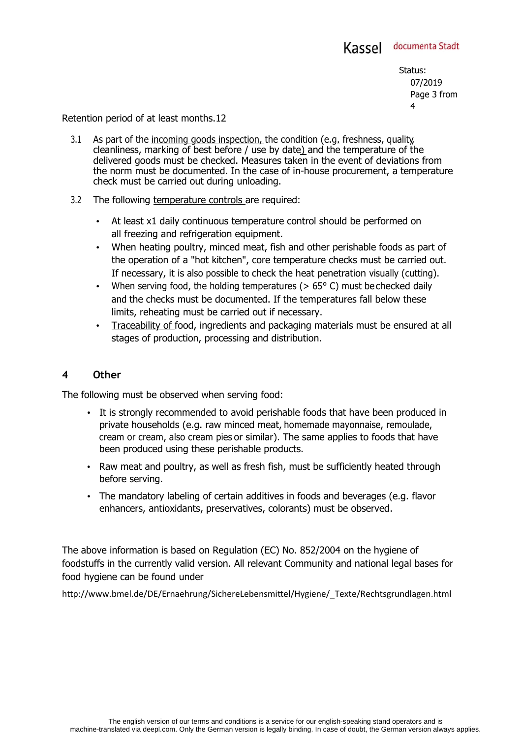Status: 07/2019 Page 3 from 4

#### Retention period of at least months.12

- 3.1 As part of the incoming goods inspection, the condition (e.g. freshness, quality, cleanliness, marking of best before / use by date) and the temperature of the delivered goods must be checked. Measures taken in the event of deviations from the norm must be documented. In the case of in-house procurement, a temperature check must be carried out during unloading.
- 3.2 The following temperature controls are required:
	- At least x1 daily continuous temperature control should be performed on all freezing and refrigeration equipment.
	- When heating poultry, minced meat, fish and other perishable foods as part of the operation of a "hot kitchen", core temperature checks must be carried out. If necessary, it is also possible to check the heat penetration visually (cutting).
	- When serving food, the holding temperatures ( $> 65^{\circ}$  C) must be checked daily and the checks must be documented. If the temperatures fall below these limits, reheating must be carried out if necessary.
	- Traceability of food, ingredients and packaging materials must be ensured at all stages of production, processing and distribution.

#### **4 Other**

The following must be observed when serving food:

- It is strongly recommended to avoid perishable foods that have been produced in private households (e.g. raw minced meat, homemade mayonnaise, remoulade, cream or cream, also cream pies or similar). The same applies to foods that have been produced using these perishable products.
- Raw meat and poultry, as well as fresh fish, must be sufficiently heated through before serving.
- The mandatory labeling of certain additives in foods and beverages (e.g. flavor enhancers, antioxidants, preservatives, colorants) must be observed.

The above information is based on Regulation (EC) No. 852/2004 on the hygiene of foodstuffs in the currently valid version. All relevant Community and national legal bases for food hygiene can be found under

http://www.bmel.de/DE/Ernaehrung/SichereLebensmittel/Hygiene/\_Texte/Rechtsgrundlagen.html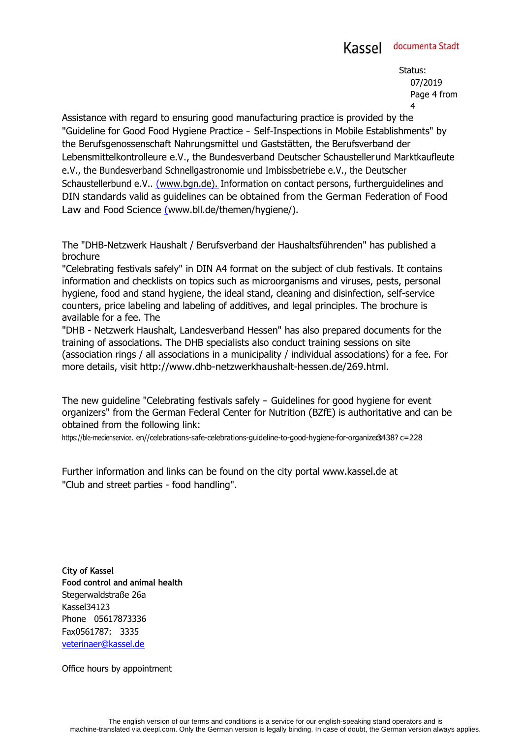Status: 07/2019 Page 4 from 4

Assistance with regard to ensuring good manufacturing practice is provided by the "Guideline for Good Food Hygiene Practice - Self-Inspections in Mobile Establishments" by the Berufsgenossenschaft Nahrungsmittel und Gaststätten, the Berufsverband der Lebensmittelkontrolleure e.V., the Bundesverband Deutscher Schausteller und Marktkaufleute e.V., the Bundesverband Schnellgastronomie und Imbissbetriebe e.V., the Deutscher Schaustellerbund e.V.. (www.bgn.de). Information on contact persons, furtherguidelines and DIN standards valid as guidelines can be obtained from the German Federation of Food Law and Food Science (www.bll.de/themen/hygiene/).

The "DHB-Netzwerk Haushalt / Berufsverband der Haushaltsführenden" has published a brochure

"Celebrating festivals safely" in DIN A4 format on the subject of club festivals. It contains information and checklists on topics such as microorganisms and viruses, pests, personal hygiene, food and stand hygiene, the ideal stand, cleaning and disinfection, self-service counters, price labeling and labeling of additives, and legal principles. The brochure is available for a fee. The

"DHB - Netzwerk Haushalt, Landesverband Hessen" has also prepared documents for the training of associations. The DHB specialists also conduct training sessions on site (association rings / all associations in a municipality / individual associations) for a fee. For more details, visit http://www.dhb-netzwerkhaushalt-hessen.de/269.html.

The new guideline "Celebrating festivals safely - Guidelines for good hygiene for event organizers" from the German Federal Center for Nutrition (BZfE) is authoritative and can be obtained from the following link:

https://ble-medienservice. en//celebrations-safe-celebrations-guideline-to-good-hygiene-for-organizers3438? c=228

Further information and links can be found on the city portal www.kassel.de at "Club and street parties - food handling".

**City of Kassel Food control and animal health** Stegerwaldstraße 26a Kassel34123 Phone 05617873336 Fax0561787: 3335 veterinaer@kassel.de

Office hours by appointment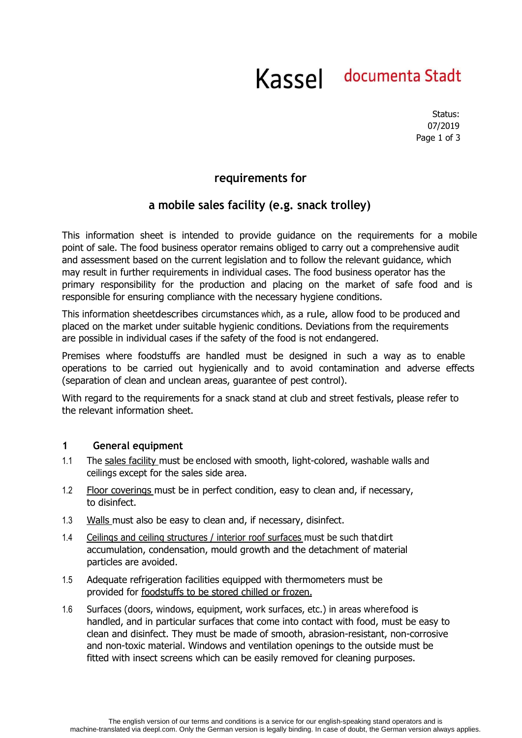Status: 07/2019 Page 1 of 3

## **requirements for**

## **a mobile sales facility (e.g. snack trolley)**

This information sheet is intended to provide guidance on the requirements for a mobile point of sale. The food business operator remains obliged to carry out a comprehensive audit and assessment based on the current legislation and to follow the relevant guidance, which may result in further requirements in individual cases. The food business operator has the primary responsibility for the production and placing on the market of safe food and is responsible for ensuring compliance with the necessary hygiene conditions.

This information sheet describes circumstances which, as a rule, allow food to be produced and placed on the market under suitable hygienic conditions. Deviations from the requirements are possible in individual cases if the safety of the food is not endangered.

Premises where foodstuffs are handled must be designed in such a way as to enable operations to be carried out hygienically and to avoid contamination and adverse effects (separation of clean and unclean areas, guarantee of pest control).

With regard to the requirements for a snack stand at club and street festivals, please refer to the relevant information sheet.

#### **1 General equipment**

- 1.1 The sales facility must be enclosed with smooth, light-colored, washable walls and ceilings except for the sales side area.
- 1.2 Floor coverings must be in perfect condition, easy to clean and, if necessary, to disinfect.
- 1.3 Walls must also be easy to clean and, if necessary, disinfect.
- 1.4 Ceilings and ceiling structures / interior roof surfaces must be such that dirt accumulation, condensation, mould growth and the detachment of material particles are avoided.
- 1.5 Adequate refrigeration facilities equipped with thermometers must be provided for foodstuffs to be stored chilled or frozen.
- 1.6 Surfaces (doors, windows, equipment, work surfaces, etc.) in areas where food is handled, and in particular surfaces that come into contact with food, must be easy to clean and disinfect. They must be made of smooth, abrasion-resistant, non-corrosive and non-toxic material. Windows and ventilation openings to the outside must be fitted with insect screens which can be easily removed for cleaning purposes.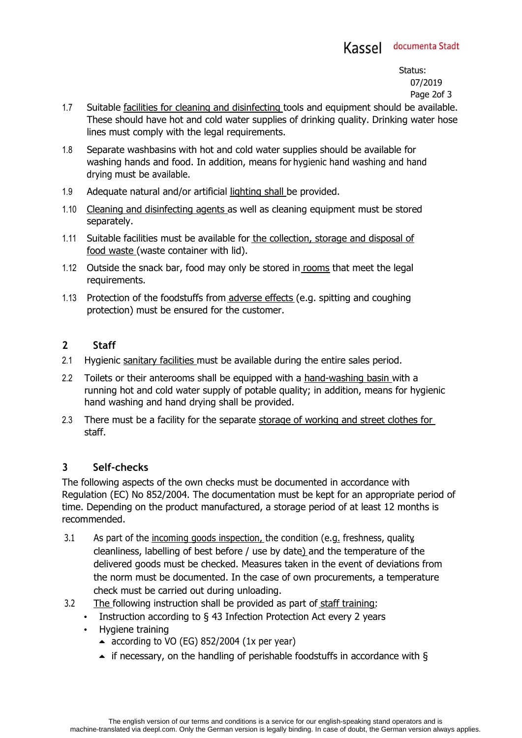Status: 07/2019 Page 2of 3

- 1.7 Suitable facilities for cleaning and disinfecting tools and equipment should be available. These should have hot and cold water supplies of drinking quality. Drinking water hose lines must comply with the legal requirements.
- 1.8 Separate washbasins with hot and cold water supplies should be available for washing hands and food. In addition, means for hygienic hand washing and hand drying must be available.
- 1.9 Adequate natural and/or artificial lighting shall be provided.
- 1.10 Cleaning and disinfecting agents as well as cleaning equipment must be stored separately.
- 1.11 Suitable facilities must be available for the collection, storage and disposal of food waste (waste container with lid).
- 1.12 Outside the snack bar, food may only be stored in rooms that meet the legal requirements.
- 1.13 Protection of the foodstuffs from adverse effects (e.g. spitting and coughing protection) must be ensured for the customer.

## **2 Staff**

- 2.1 Hygienic sanitary facilities must be available during the entire sales period.
- 2.2 Toilets or their anterooms shall be equipped with a hand-washing basin with a running hot and cold water supply of potable quality; in addition, means for hygienic hand washing and hand drying shall be provided.
- 2.3 There must be a facility for the separate storage of working and street clothes for staff.

## **3 Self-checks**

The following aspects of the own checks must be documented in accordance with Regulation (EC) No 852/2004. The documentation must be kept for an appropriate period of time. Depending on the product manufactured, a storage period of at least 12 months is recommended.

- 3.1 As part of the incoming goods inspection, the condition (e.g. freshness, quality, cleanliness, labelling of best before / use by date) and the temperature of the delivered goods must be checked. Measures taken in the event of deviations from the norm must be documented. In the case of own procurements, a temperature check must be carried out during unloading.
- 3.2 The following instruction shall be provided as part of staff training:
	- Instruction according to § 43 Infection Protection Act every 2 years
	- Hygiene training
		- $\triangle$  according to VO (EG) 852/2004 (1x per year)
		- $\blacktriangle$  if necessary, on the handling of perishable foodstuffs in accordance with §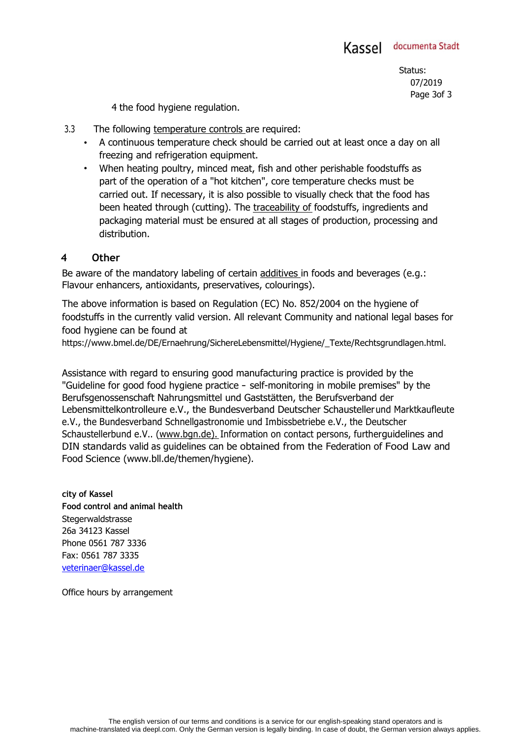Status: 07/2019 Page 3of 3

4 the food hygiene regulation.

- 3.3 The following temperature controls are required:
	- A continuous temperature check should be carried out at least once a day on all freezing and refrigeration equipment.
	- When heating poultry, minced meat, fish and other perishable foodstuffs as part of the operation of a "hot kitchen", core temperature checks must be carried out. If necessary, it is also possible to visually check that the food has been heated through (cutting). The traceability of foodstuffs, ingredients and packaging material must be ensured at all stages of production, processing and distribution.

### **4 Other**

Be aware of the mandatory labeling of certain additives in foods and beverages (e.g.: Flavour enhancers, antioxidants, preservatives, colourings).

The above information is based on Regulation (EC) No. 852/2004 on the hygiene of foodstuffs in the currently valid version. All relevant Community and national legal bases for food hygiene can be found at

https://www.bmel.de/DE/Ernaehrung/SichereLebensmittel/Hygiene/\_Texte/Rechtsgrundlagen.html.

Assistance with regard to ensuring good manufacturing practice is provided by the "Guideline for good food hygiene practice - self-monitoring in mobile premises" by the Berufsgenossenschaft Nahrungsmittel und Gaststätten, the Berufsverband der Lebensmittelkontrolleure e.V., the Bundesverband Deutscher Schausteller und Marktkaufleute e.V., the Bundesverband Schnellgastronomie und Imbissbetriebe e.V., the Deutscher Schaustellerbund e.V.. (www.bgn.de). Information on contact persons, further guidelines and DIN standards valid as guidelines can be obtained from the Federation of Food Law and Food Science (www.bll.de/themen/hygiene).

**city of Kassel Food control and animal health Stegerwaldstrasse** 26a 34123 Kassel Phone 0561 787 3336 Fax: 0561 787 3335 veterinaer@kassel.de

Office hours by arrangement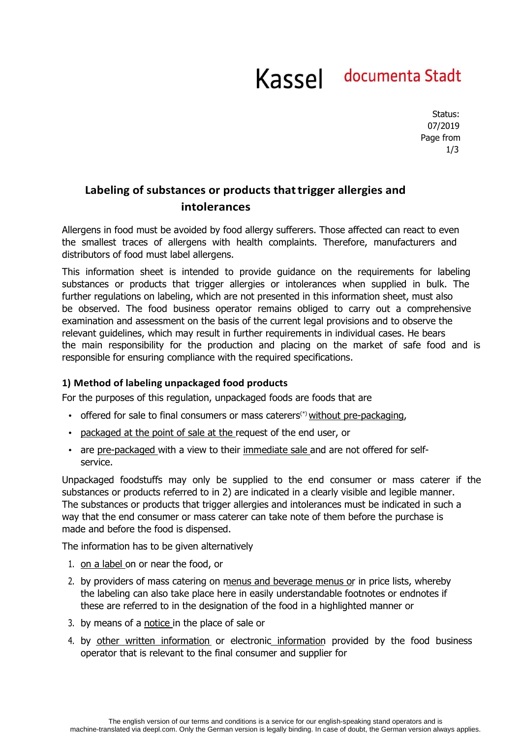Status: 07/2019 Page from 1/3

## **Labeling of substances or products that trigger allergies and intolerances**

Allergens in food must be avoided by food allergy sufferers. Those affected can react to even the smallest traces of allergens with health complaints. Therefore, manufacturers and distributors of food must label allergens.

This information sheet is intended to provide guidance on the requirements for labeling substances or products that trigger allergies or intolerances when supplied in bulk. The further regulations on labeling, which are not presented in this information sheet, must also be observed. The food business operator remains obliged to carry out a comprehensive examination and assessment on the basis of the current legal provisions and to observe the relevant guidelines, which may result in further requirements in individual cases. He bears the main responsibility for the production and placing on the market of safe food and is responsible for ensuring compliance with the required specifications.

### **1) Method of labeling unpackaged food products**

For the purposes of this regulation, unpackaged foods are foods that are

- offered for sale to final consumers or mass caterers<sup> $(*)$ </sup> without pre-packaging,
- packaged at the point of sale at the request of the end user, or
- are pre-packaged with a view to their immediate sale and are not offered for selfservice.

Unpackaged foodstuffs may only be supplied to the end consumer or mass caterer if the substances or products referred to in 2) are indicated in a clearly visible and legible manner. The substances or products that trigger allergies and intolerances must be indicated in such a way that the end consumer or mass caterer can take note of them before the purchase is made and before the food is dispensed.

The information has to be given alternatively

- 1. on a label on or near the food, or
- 2. by providers of mass catering on menus and beverage menus or in price lists, whereby the labeling can also take place here in easily understandable footnotes or endnotes if these are referred to in the designation of the food in a highlighted manner or
- 3. by means of a notice in the place of sale or
- 4. by other written information or electronic information provided by the food business operator that is relevant to the final consumer and supplier for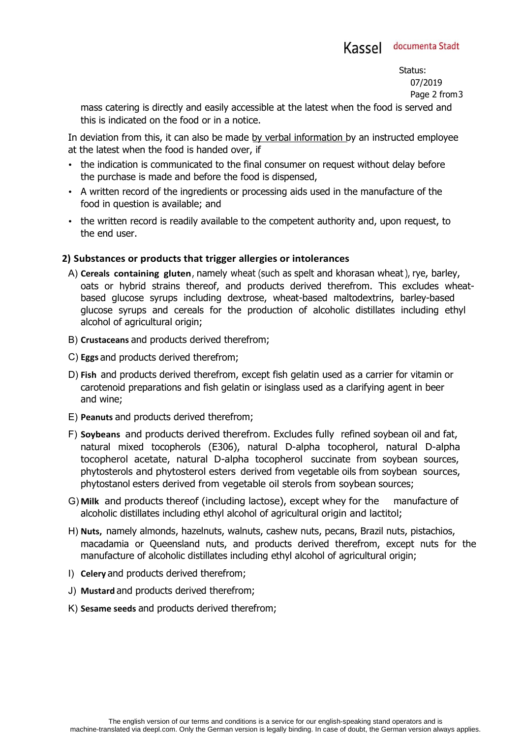Status: 07/2019

Page 2 from 3

mass catering is directly and easily accessible at the latest when the food is served and this is indicated on the food or in a notice.

In deviation from this, it can also be made by verbal information by an instructed employee at the latest when the food is handed over, if

- the indication is communicated to the final consumer on request without delay before the purchase is made and before the food is dispensed,
- A written record of the ingredients or processing aids used in the manufacture of the food in question is available; and
- the written record is readily available to the competent authority and, upon request, to the end user.

## **2) Substances or products that trigger allergies or intolerances**

- A) **Cereals containing gluten**, namely wheat (such as spelt and khorasan wheat), rye, barley, oats or hybrid strains thereof, and products derived therefrom. This excludes wheatbased glucose syrups including dextrose, wheat-based maltodextrins, barley-based glucose syrups and cereals for the production of alcoholic distillates including ethyl alcohol of agricultural origin;
- B) **Crustaceans** and products derived therefrom;
- C) **Eggs** and products derived therefrom;
- D) **Fish** and products derived therefrom, except fish gelatin used as a carrier for vitamin or carotenoid preparations and fish gelatin or isinglass used as a clarifying agent in beer and wine;
- E) **Peanuts** and products derived therefrom;
- F) **Soybeans** and products derived therefrom. Excludes fully refined soybean oil and fat, natural mixed tocopherols (E306), natural D-alpha tocopherol, natural D-alpha tocopherol acetate, natural D-alpha tocopherol succinate from soybean sources, phytosterols and phytosterol esters derived from vegetable oils from soybean sources, phytostanol esters derived from vegetable oil sterols from soybean sources;
- G) **Milk** and products thereof (including lactose), except whey for the manufacture of alcoholic distillates including ethyl alcohol of agricultural origin and lactitol;
- H) **Nuts,** namely almonds, hazelnuts, walnuts, cashew nuts, pecans, Brazil nuts, pistachios, macadamia or Queensland nuts, and products derived therefrom, except nuts for the manufacture of alcoholic distillates including ethyl alcohol of agricultural origin;
- I) **Celery** and products derived therefrom;
- J) **Mustard** and products derived therefrom;
- K) **Sesame seeds** and products derived therefrom;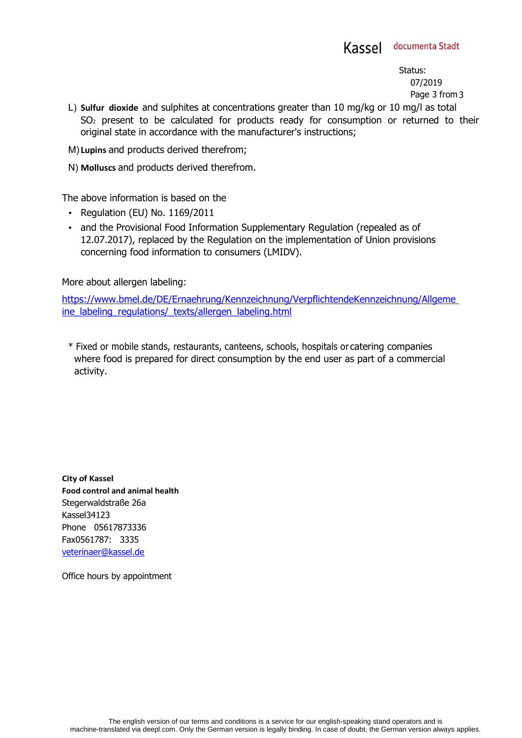Status: 07/2019 Page 3 from 3

- L) **Sulfur dioxide** and sulphites at concentrations greater than 10 mg/kg or 10 mg/l as total SO2 present to be calculated for products ready for consumption or returned to their original state in accordance with the manufacturer's instructions;
- M) **Lupins** and products derived therefrom;
- N) **Molluscs** and products derived therefrom.

The above information is based on the

- Regulation (EU) No. 1169/2011
- and the Provisional Food Information Supplementary Regulation (repealed as of 12.07.2017), replaced by the Regulation on the implementation of Union provisions concerning food information to consumers (LMIDV).

More about allergen labeling:

https://www.bmel.de/DE/Ernaehrung/Kennzeichnung/VerpflichtendeKennzeichnung/Allgeme ine\_labeling\_regulations/\_texts/allergen\_labeling.html

\* Fixed or mobile stands, restaurants, canteens, schools, hospitals or catering companies where food is prepared for direct consumption by the end user as part of a commercial activity.

**City of Kassel Food control and animal health** Stegerwaldstraße 26a Kassel34123 Phone 05617873336 Fax0561787: 3335 veterinaer@kassel.de

Office hours by appointment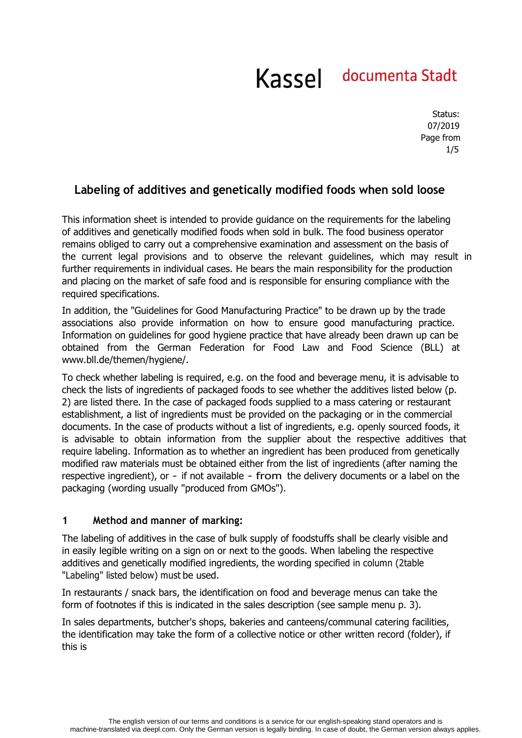Status: 07/2019 Page from 1/5

## **Labeling of additives and genetically modified foods when sold loose**

This information sheet is intended to provide guidance on the requirements for the labeling of additives and genetically modified foods when sold in bulk. The food business operator remains obliged to carry out a comprehensive examination and assessment on the basis of the current legal provisions and to observe the relevant guidelines, which may result in further requirements in individual cases. He bears the main responsibility for the production and placing on the market of safe food and is responsible for ensuring compliance with the required specifications.

In addition, the "Guidelines for Good Manufacturing Practice" to be drawn up by the trade associations also provide information on how to ensure good manufacturing practice. Information on guidelines for good hygiene practice that have already been drawn up can be obtained from the German Federation for Food Law and Food Science (BLL) at www.bll.de/themen/hygiene/.

To check whether labeling is required, e.g. on the food and beverage menu, it is advisable to check the lists of ingredients of packaged foods to see whether the additives listed below (p. 2) are listed there. In the case of packaged foods supplied to a mass catering or restaurant establishment, a list of ingredients must be provided on the packaging or in the commercial documents. In the case of products without a list of ingredients, e.g. openly sourced foods, it is advisable to obtain information from the supplier about the respective additives that require labeling. Information as to whether an ingredient has been produced from genetically modified raw materials must be obtained either from the list of ingredients (after naming the respective ingredient), or - if not available - from the delivery documents or a label on the packaging (wording usually "produced from GMOs").

### **1 Method and manner of marking:**

The labeling of additives in the case of bulk supply of foodstuffs shall be clearly visible and in easily legible writing on a sign on or next to the goods. When labeling the respective additives and genetically modified ingredients, the wording specified in column (2table "Labeling" listed below) must be used.

In restaurants / snack bars, the identification on food and beverage menus can take the form of footnotes if this is indicated in the sales description (see sample menu p. 3).

In sales departments, butcher's shops, bakeries and canteens/communal catering facilities, the identification may take the form of a collective notice or other written record (folder), if this is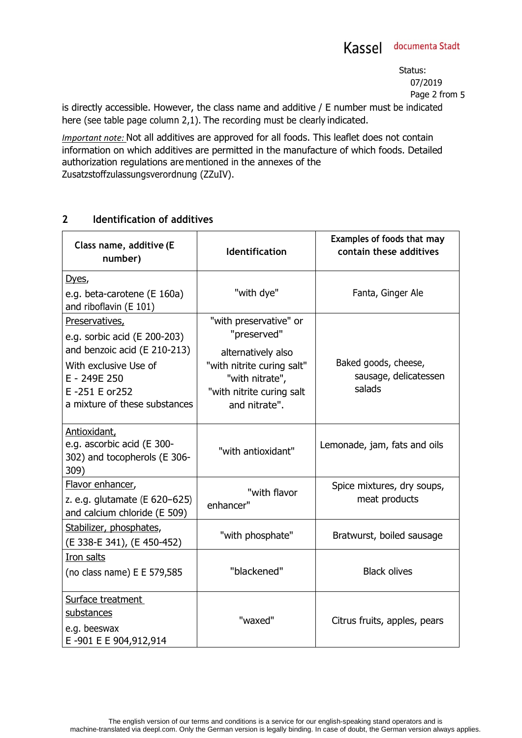Status: 07/2019 Page 2 from 5

is directly accessible. However, the class name and additive / E number must be indicated here (see table page column 2,1). The recording must be clearly indicated.

*Important note:* Not all additives are approved for all foods. This leaflet does not contain information on which additives are permitted in the manufacture of which foods. Detailed authorization regulations are mentioned in the annexes of the Zusatzstoffzulassungsverordnung (ZZuIV).

### **2 Identification of additives**

| Class name, additive (E<br>number)                                                 | <b>Identification</b>                            | Examples of foods that may<br>contain these additives |
|------------------------------------------------------------------------------------|--------------------------------------------------|-------------------------------------------------------|
| Dyes,                                                                              |                                                  |                                                       |
| e.g. beta-carotene (E 160a)<br>and riboflavin (E 101)                              | "with dye"                                       | Fanta, Ginger Ale                                     |
| Preservatives,                                                                     | "with preservative" or                           |                                                       |
| e.g. sorbic acid (E 200-203)<br>and benzoic acid (E 210-213)                       | "preserved"                                      |                                                       |
| With exclusive Use of                                                              | alternatively also<br>"with nitrite curing salt" | Baked goods, cheese,                                  |
| E - 249E 250                                                                       | "with nitrate",                                  | sausage, delicatessen                                 |
| E-251 E or252                                                                      | "with nitrite curing salt                        | salads                                                |
| a mixture of these substances                                                      | and nitrate".                                    |                                                       |
| Antioxidant,<br>e.g. ascorbic acid (E 300-<br>302) and tocopherols (E 306-<br>309) | "with antioxidant"                               | Lemonade, jam, fats and oils                          |
| Flavor enhancer,                                                                   | "with flavor                                     | Spice mixtures, dry soups,<br>meat products           |
| z. e.g. glutamate (E 620-625)<br>and calcium chloride (E 509)                      | enhancer"                                        |                                                       |
| Stabilizer, phosphates,                                                            | "with phosphate"                                 | Bratwurst, boiled sausage                             |
| (E 338-E 341), (E 450-452)                                                         |                                                  |                                                       |
| Iron salts                                                                         |                                                  |                                                       |
| (no class name) E E 579,585                                                        | "blackened"                                      | <b>Black olives</b>                                   |
| Surface treatment                                                                  |                                                  |                                                       |
| substances                                                                         | "waxed"                                          | Citrus fruits, apples, pears                          |
| e.g. beeswax<br>E-901 E E 904,912,914                                              |                                                  |                                                       |
|                                                                                    |                                                  |                                                       |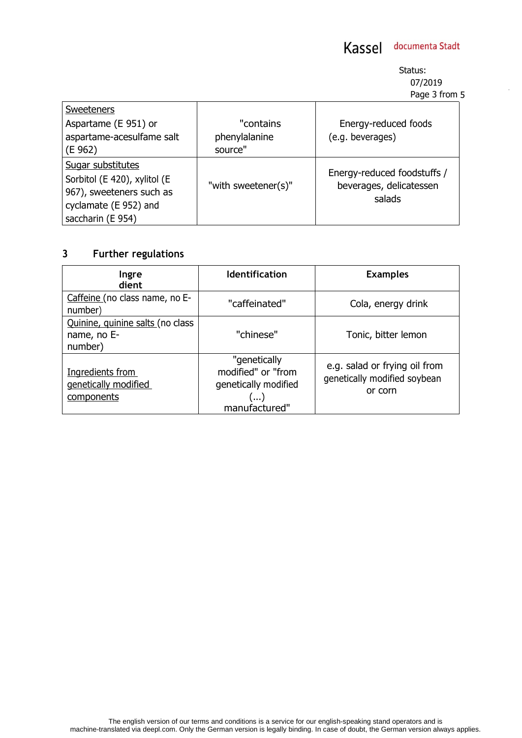Status: 07/2019 Page 3 from 5

l,

| <b>Sweeteners</b>            |                     |                                   |
|------------------------------|---------------------|-----------------------------------|
| Aspartame (E 951) or         | "contains           | Energy-reduced foods              |
| aspartame-acesulfame salt    | phenylalanine       | (e.g. beverages)                  |
| (E 962)                      | source"             |                                   |
| Sugar substitutes            |                     |                                   |
| Sorbitol (E 420), xylitol (E |                     | Energy-reduced foodstuffs /       |
| 967), sweeteners such as     | "with sweetener(s)" | beverages, delicatessen<br>salads |
| cyclamate (E 952) and        |                     |                                   |
| saccharin (E 954)            |                     |                                   |

## **3 Further regulations**

| Ingre<br>dient                                             | <b>Identification</b>                                                              | <b>Examples</b>                                                          |
|------------------------------------------------------------|------------------------------------------------------------------------------------|--------------------------------------------------------------------------|
| Caffeine (no class name, no E-<br>number)                  | "caffeinated"                                                                      | Cola, energy drink                                                       |
| Quinine, quinine salts (no class<br>name, no E-<br>number) | "chinese"                                                                          | Tonic, bitter lemon                                                      |
| Ingredients from<br>genetically modified<br>components     | "genetically<br>modified" or "from<br>genetically modified<br>(…)<br>manufactured" | e.g. salad or frying oil from<br>genetically modified soybean<br>or corn |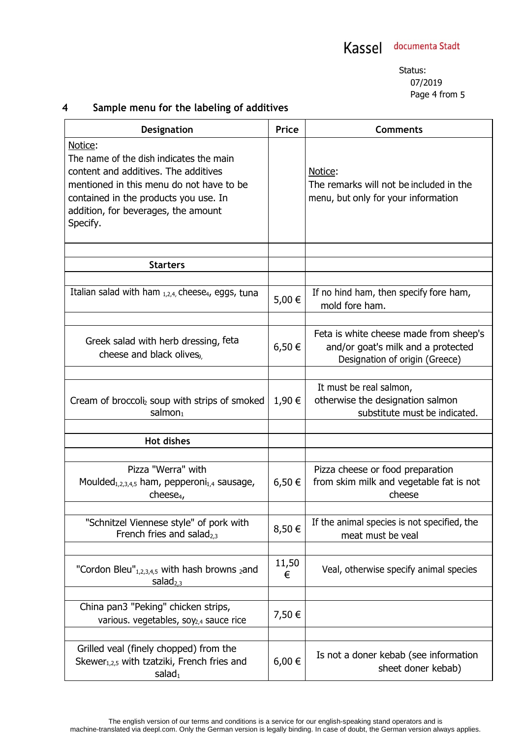## **4 Sample menu for the labeling of additives**

| Designation                                                                                                                                                                                                                        | <b>Price</b> | <b>Comments</b>                                                                                                |
|------------------------------------------------------------------------------------------------------------------------------------------------------------------------------------------------------------------------------------|--------------|----------------------------------------------------------------------------------------------------------------|
| Notice:<br>The name of the dish indicates the main<br>content and additives. The additives<br>mentioned in this menu do not have to be<br>contained in the products you use. In<br>addition, for beverages, the amount<br>Specify. |              | Notice:<br>The remarks will not be included in the<br>menu, but only for your information                      |
| <b>Starters</b>                                                                                                                                                                                                                    |              |                                                                                                                |
|                                                                                                                                                                                                                                    |              |                                                                                                                |
| Italian salad with ham $_{1,2,4}$ , cheese <sub>4</sub> , eggs, tuna                                                                                                                                                               | 5,00 €       | If no hind ham, then specify fore ham,<br>mold fore ham.                                                       |
| Greek salad with herb dressing, feta<br>cheese and black olives,                                                                                                                                                                   | 6,50€        | Feta is white cheese made from sheep's<br>and/or goat's milk and a protected<br>Designation of origin (Greece) |
| Cream of broccoli <sub>2</sub> soup with strips of smoked<br>salmon $_1$                                                                                                                                                           | 1,90 €       | It must be real salmon,<br>otherwise the designation salmon<br>substitute must be indicated.                   |
| <b>Hot dishes</b>                                                                                                                                                                                                                  |              |                                                                                                                |
| Pizza "Werra" with<br>Moulded <sub>1,2,3,4,5</sub> ham, pepperoni <sub>1,4</sub> sausage,<br>cheese <sub>4</sub>                                                                                                                   | 6,50€        | Pizza cheese or food preparation<br>from skim milk and vegetable fat is not<br>cheese                          |
| "Schnitzel Viennese style" of pork with<br>French fries and salad $_{2,3}$                                                                                                                                                         | 8,50€        | If the animal species is not specified, the<br>meat must be veal                                               |
| "Cordon Bleu" $_{1,2,3,4,5}$ with hash browns $_2$ and<br>salad <sub>2,3</sub>                                                                                                                                                     | 11,50<br>€   | Veal, otherwise specify animal species                                                                         |
| China pan3 "Peking" chicken strips,<br>various. vegetables, soy <sub>2,4</sub> sauce rice                                                                                                                                          | 7,50 €       |                                                                                                                |
| Grilled veal (finely chopped) from the<br>Skewer <sub>1,2,5</sub> with tzatziki, French fries and<br>salad <sub>1</sub>                                                                                                            | 6,00 €       | Is not a doner kebab (see information<br>sheet doner kebab)                                                    |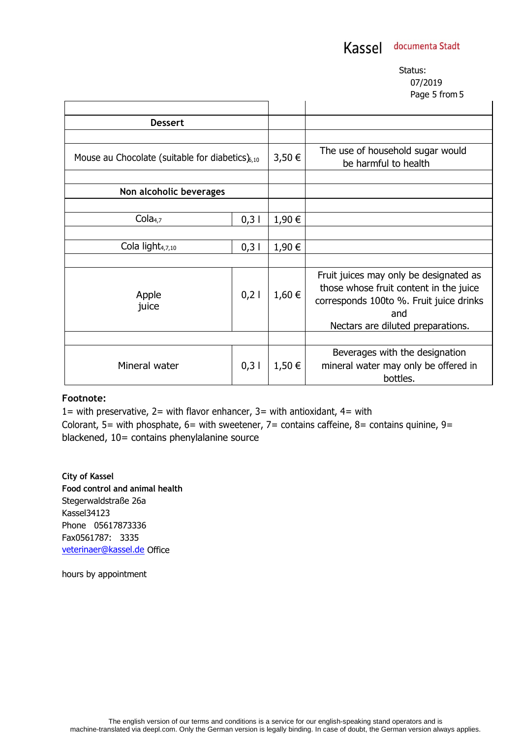Status: 07/2019 Page 5 from 5

|                                                       |      |        | . agu a noma                                                                                                                                                            |
|-------------------------------------------------------|------|--------|-------------------------------------------------------------------------------------------------------------------------------------------------------------------------|
|                                                       |      |        |                                                                                                                                                                         |
| <b>Dessert</b>                                        |      |        |                                                                                                                                                                         |
|                                                       |      |        |                                                                                                                                                                         |
| Mouse au Chocolate (suitable for diabetics) $_{6,10}$ |      | 3,50 € | The use of household sugar would<br>be harmful to health                                                                                                                |
|                                                       |      |        |                                                                                                                                                                         |
| Non alcoholic beverages                               |      |        |                                                                                                                                                                         |
|                                                       |      |        |                                                                                                                                                                         |
| Cola <sub>4,7</sub>                                   | 0,31 | 1,90 € |                                                                                                                                                                         |
|                                                       |      |        |                                                                                                                                                                         |
| Cola light <sub>4,7,10</sub>                          | 0,31 | 1,90 € |                                                                                                                                                                         |
|                                                       |      |        |                                                                                                                                                                         |
| Apple<br>juice                                        | 0,21 | 1,60 € | Fruit juices may only be designated as<br>those whose fruit content in the juice<br>corresponds 100to %. Fruit juice drinks<br>and<br>Nectars are diluted preparations. |
|                                                       |      |        |                                                                                                                                                                         |
| Mineral water                                         | 0,31 | 1,50 € | Beverages with the designation<br>mineral water may only be offered in<br>bottles.                                                                                      |

#### **Footnote:**

1= with preservative,  $2=$  with flavor enhancer,  $3=$  with antioxidant,  $4=$  with Colorant, 5= with phosphate, 6= with sweetener, 7= contains caffeine, 8= contains quinine, 9= blackened, 10= contains phenylalanine source

**City of Kassel Food control and animal health** Stegerwaldstraße 26a Kassel34123 Phone 05617873336 Fax0561787: 3335 veterinaer@kassel.de Office

hours by appointment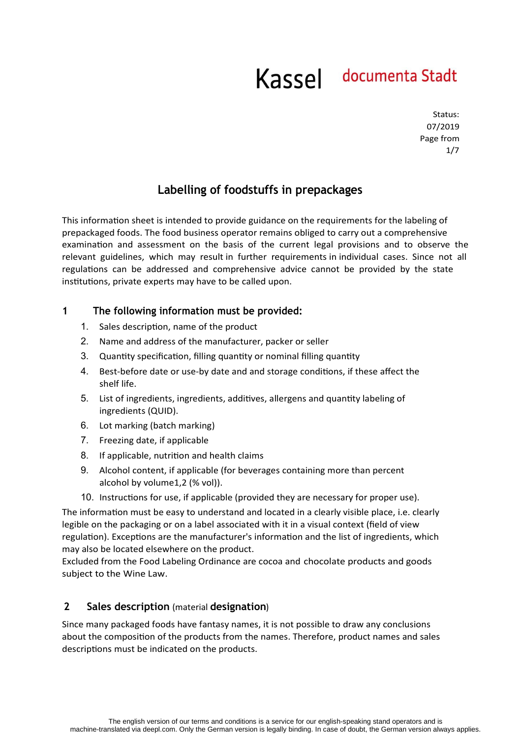Status: 07/2019 Page from 1/7

## **Labelling of foodstuffs in prepackages**

This information sheet is intended to provide guidance on the requirements for the labeling of prepackaged foods. The food business operator remains obliged to carry out a comprehensive examination and assessment on the basis of the current legal provisions and to observe the relevant guidelines, which may result in further requirements in individual cases. Since not all regulations can be addressed and comprehensive advice cannot be provided by the state institutions, private experts may have to be called upon.

### **1 The following information must be provided:**

- 1. Sales description, name of the product
- 2. Name and address of the manufacturer, packer or seller
- 3. Quantity specification, filling quantity or nominal filling quantity
- 4. Best-before date or use-by date and and storage conditions, if these affect the shelf life.
- 5. List of ingredients, ingredients, additives, allergens and quantity labeling of ingredients (QUID).
- 6. Lot marking (batch marking)
- 7. Freezing date, if applicable
- 8. If applicable, nutrition and health claims
- 9. Alcohol content, if applicable (for beverages containing more than percent alcohol by volume1,2 (% vol)).
- 10. Instructions for use, if applicable (provided they are necessary for proper use).

The information must be easy to understand and located in a clearly visible place, i.e. clearly legible on the packaging or on a label associated with it in a visual context (field of view regulation). Exceptions are the manufacturer's information and the list of ingredients, which may also be located elsewhere on the product.

Excluded from the Food Labeling Ordinance are cocoa and chocolate products and goods subject to the Wine Law.

### **2 Sales description** (material **designation**)

Since many packaged foods have fantasy names, it is not possible to draw any conclusions about the composition of the products from the names. Therefore, product names and sales descriptions must be indicated on the products.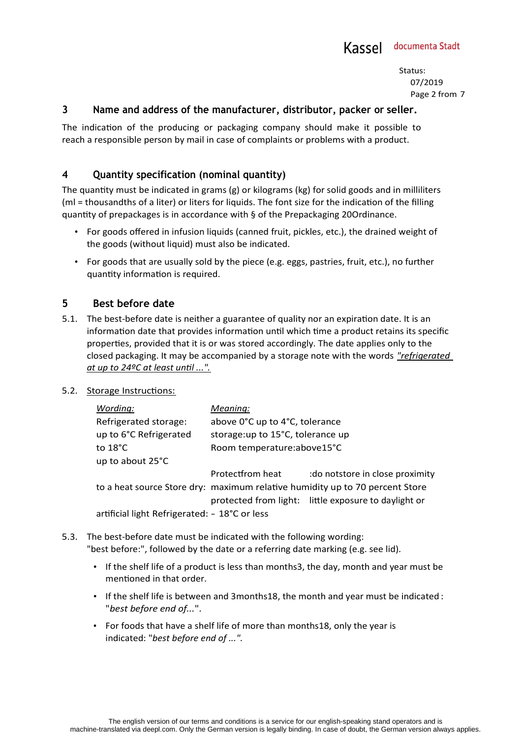Status: 07/2019 Page 2 from 7

### **3 Name and address of the manufacturer, distributor, packer or seller.**

The indication of the producing or packaging company should make it possible to reach a responsible person by mail in case of complaints or problems with a product.

## **4 Quantity specification (nominal quantity)**

The quantity must be indicated in grams (g) or kilograms (kg) for solid goods and in milliliters (ml = thousandths of a liter) or liters for liquids. The font size for the indication of the filling quantity of prepackages is in accordance with § of the Prepackaging 20Ordinance.

- For goods offered in infusion liquids (canned fruit, pickles, etc.), the drained weight of the goods (without liquid) must also be indicated.
- For goods that are usually sold by the piece (e.g. eggs, pastries, fruit, etc.), no further quantity information is required.

### **5 Best before date**

5.1. The best-before date is neither a guarantee of quality nor an expiration date. It is an information date that provides information until which time a product retains its specific properties, provided that it is or was stored accordingly. The date applies only to the closed packaging. It may be accompanied by a storage note with the words *"refrigerated at up to 24ºC at least until ...".*

#### 5.2. Storage Instructions:

| Wording:                                      | Meaning:                          |                                                                              |  |
|-----------------------------------------------|-----------------------------------|------------------------------------------------------------------------------|--|
| Refrigerated storage:                         | above 0°C up to 4°C, tolerance    |                                                                              |  |
| up to 6°C Refrigerated                        | storage: up to 15°C, tolerance up |                                                                              |  |
| to $18^{\circ}$ C                             | Room temperature:above15°C        |                                                                              |  |
| up to about 25°C                              |                                   |                                                                              |  |
|                                               | Protectfrom heat                  | : do notstore in close proximity                                             |  |
|                                               |                                   | to a heat source Store dry: maximum relative humidity up to 70 percent Store |  |
|                                               |                                   | protected from light: little exposure to daylight or                         |  |
| artificial light Refrigerated: - 18°C or less |                                   |                                                                              |  |

- 5.3. The best-before date must be indicated with the following wording: "best before:", followed by the date or a referring date marking (e.g. see lid).
	- If the shelf life of a product is less than months3, the day, month and year must be mentioned in that order.
	- If the shelf life is between and 3months18, the month and year must be indicated : "*best before end of...*".
	- For foods that have a shelf life of more than months18, only the year is indicated: "*best before end of ...".*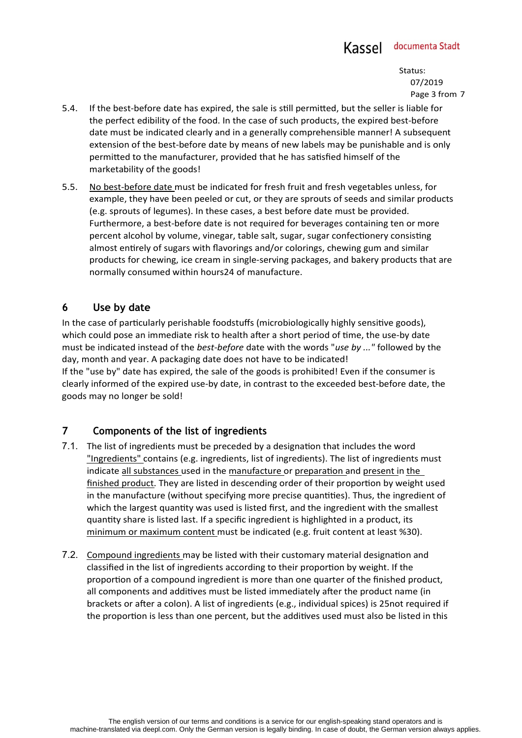Status: 07/2019 Page 3 from 7

- 5.4. If the best-before date has expired, the sale is still permitted, but the seller is liable for the perfect edibility of the food. In the case of such products, the expired best-before date must be indicated clearly and in a generally comprehensible manner! A subsequent extension of the best-before date by means of new labels may be punishable and is only permitted to the manufacturer, provided that he has satisfied himself of the marketability of the goods!
- 5.5. No best-before date must be indicated for fresh fruit and fresh vegetables unless, for example, they have been peeled or cut, or they are sprouts of seeds and similar products (e.g. sprouts of legumes). In these cases, a best before date must be provided. Furthermore, a best-before date is not required for beverages containing ten or more percent alcohol by volume, vinegar, table salt, sugar, sugar confectionery consisting almost entirely of sugars with flavorings and/or colorings, chewing gum and similar products for chewing, ice cream in single-serving packages, and bakery products that are normally consumed within hours24 of manufacture.

## **6 Use by date**

In the case of particularly perishable foodstuffs (microbiologically highly sensitive goods), which could pose an immediate risk to health after a short period of time, the use-by date must be indicated instead of the *best-before* date with the words "*use by ..."* followed by the day, month and year. A packaging date does not have to be indicated! If the "use by" date has expired, the sale of the goods is prohibited! Even if the consumer is clearly informed of the expired use-by date, in contrast to the exceeded best-before date, the goods may no longer be sold!

## **7 Components of the list of ingredients**

- 7.1. The list of ingredients must be preceded by a designation that includes the word "Ingredients" contains (e.g. ingredients, list of ingredients). The list of ingredients must indicate all substances used in the manufacture or preparation and present in the finished product. They are listed in descending order of their proportion by weight used in the manufacture (without specifying more precise quantities). Thus, the ingredient of which the largest quantity was used is listed first, and the ingredient with the smallest quantity share is listed last. If a specific ingredient is highlighted in a product, its minimum or maximum content must be indicated (e.g. fruit content at least %30).
- 7.2. Compound ingredients may be listed with their customary material designation and classified in the list of ingredients according to their proportion by weight. If the proportion of a compound ingredient is more than one quarter of the finished product, all components and additives must be listed immediately after the product name (in brackets or after a colon). A list of ingredients (e.g., individual spices) is 25not required if the proportion is less than one percent, but the additives used must also be listed in this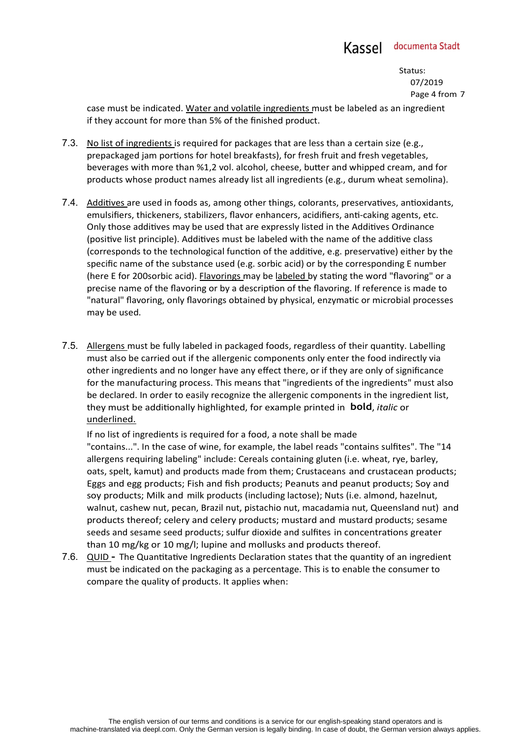Status: 07/2019 Page 4 from 7

case must be indicated. Water and volatile ingredients must be labeled as an ingredient if they account for more than 5% of the finished product.

- 7.3. No list of ingredients is required for packages that are less than a certain size (e.g., prepackaged jam portions for hotel breakfasts), for fresh fruit and fresh vegetables, beverages with more than %1,2 vol. alcohol, cheese, butter and whipped cream, and for products whose product names already list all ingredients (e.g., durum wheat semolina).
- 7.4. Additives are used in foods as, among other things, colorants, preservatives, antioxidants, emulsifiers, thickeners, stabilizers, flavor enhancers, acidifiers, anti-caking agents, etc. Only those additives may be used that are expressly listed in the Additives Ordinance (positive list principle). Additives must be labeled with the name of the additive class (corresponds to the technological function of the additive, e.g. preservative) either by the specific name of the substance used (e.g. sorbic acid) or by the corresponding E number (here E for 200sorbic acid). Flavorings may be labeled by stating the word "flavoring" or a precise name of the flavoring or by a description of the flavoring. If reference is made to "natural" flavoring, only flavorings obtained by physical, enzymatic or microbial processes may be used.
- 7.5. Allergens must be fully labeled in packaged foods, regardless of their quantity. Labelling must also be carried out if the allergenic components only enter the food indirectly via other ingredients and no longer have any effect there, or if they are only of significance for the manufacturing process. This means that "ingredients of the ingredients" must also be declared. In order to easily recognize the allergenic components in the ingredient list, they must be additionally highlighted, for example printed in **bold**, *italic* or underlined.

If no list of ingredients is required for a food, a note shall be made "contains...". In the case of wine, for example, the label reads "contains sulfites". The "14 allergens requiring labeling" include: Cereals containing gluten (i.e. wheat, rye, barley, oats, spelt, kamut) and products made from them; Crustaceans and crustacean products; Eggs and egg products; Fish and fish products; Peanuts and peanut products; Soy and soy products; Milk and milk products (including lactose); Nuts (i.e. almond, hazelnut, walnut, cashew nut, pecan, Brazil nut, pistachio nut, macadamia nut, Queensland nut) and products thereof; celery and celery products; mustard and mustard products; sesame seeds and sesame seed products; sulfur dioxide and sulfites in concentrations greater than 10 mg/kg or 10 mg/l; lupine and mollusks and products thereof.

7.6. QUID **-** The Quantitative Ingredients Declaration states that the quantity of an ingredient must be indicated on the packaging as a percentage. This is to enable the consumer to compare the quality of products. It applies when: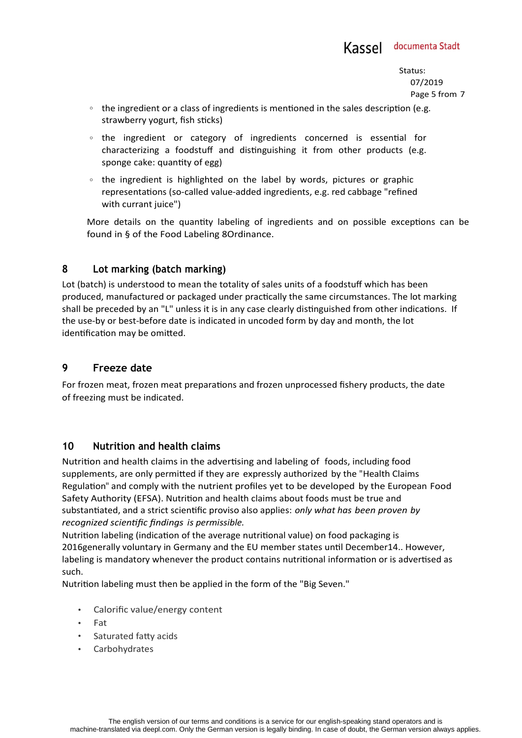Status: 07/2019 Page 5 from 7

- $\circ$  the ingredient or a class of ingredients is mentioned in the sales description (e.g. strawberry yogurt, fish sticks)
- the ingredient or category of ingredients concerned is essential for characterizing a foodstuff and distinguishing it from other products (e.g. sponge cake: quantity of egg)
- the ingredient is highlighted on the label by words, pictures or graphic representations (so-called value-added ingredients, e.g. red cabbage "refined with currant juice")

More details on the quantity labeling of ingredients and on possible exceptions can be found in § of the Food Labeling 8Ordinance.

### **8 Lot marking (batch marking)**

Lot (batch) is understood to mean the totality of sales units of a foodstuff which has been produced, manufactured or packaged under practically the same circumstances. The lot marking shall be preceded by an "L" unless it is in any case clearly distinguished from other indications. If the use-by or best-before date is indicated in uncoded form by day and month, the lot identification may be omitted.

## **9 Freeze date**

For frozen meat, frozen meat preparations and frozen unprocessed fishery products, the date of freezing must be indicated.

### **10 Nutrition and health claims**

Nutrition and health claims in the advertising and labeling of foods, including food supplements, are only permitted if they are expressly authorized by the "Health Claims Regulation" and comply with the nutrient profiles yet to be developed by the European Food Safety Authority (EFSA). Nutrition and health claims about foods must be true and substantiated, and a strict scientific proviso also applies: *only what has been proven by recognized scientific findings is permissible.*

Nutrition labeling (indication of the average nutritional value) on food packaging is 2016generally voluntary in Germany and the EU member states until December14.. However, labeling is mandatory whenever the product contains nutritional information or is advertised as such.

Nutrition labeling must then be applied in the form of the "Big Seven."

- Calorific value/energy content
- Fat
- Saturated fatty acids
- Carbohydrates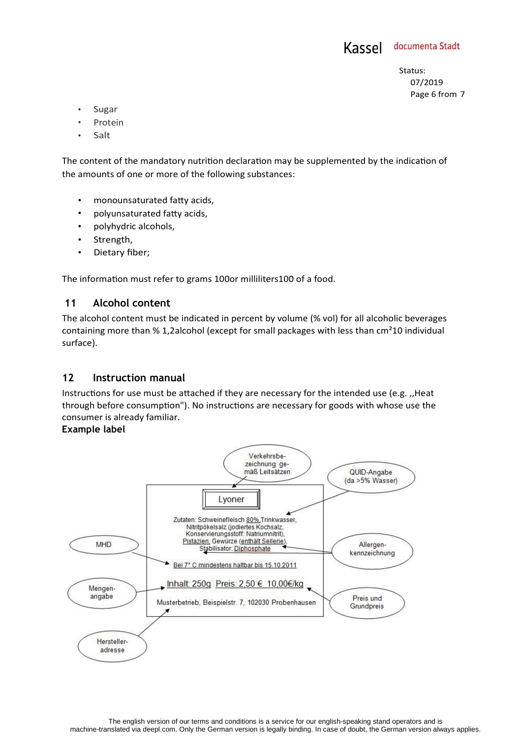

Status: 07/2019 Page 6 from 7

- **Sugar**
- Protein
- Salt

The content of the mandatory nutrition declaration may be supplemented by the indication of the amounts of one or more of the following substances:

- monounsaturated fatty acids,
- polyunsaturated fatty acids,
- polyhydric alcohols,
- Strength,
- Dietary fiber;

The information must refer to grams 100or milliliters100 of a food.

#### **11 Alcohol content**

The alcohol content must be indicated in percent by volume (% vol) for all alcoholic beverages containing more than % 1,2alcohol (except for small packages with less than cm²10 individual surface).

### **12 Instruction manual**

Instructions for use must be attached if they are necessary for the intended use (e.g. ,,Heat through before consumption"). No instructions are necessary for goods with whose use the consumer is already familiar.

#### **Example label**